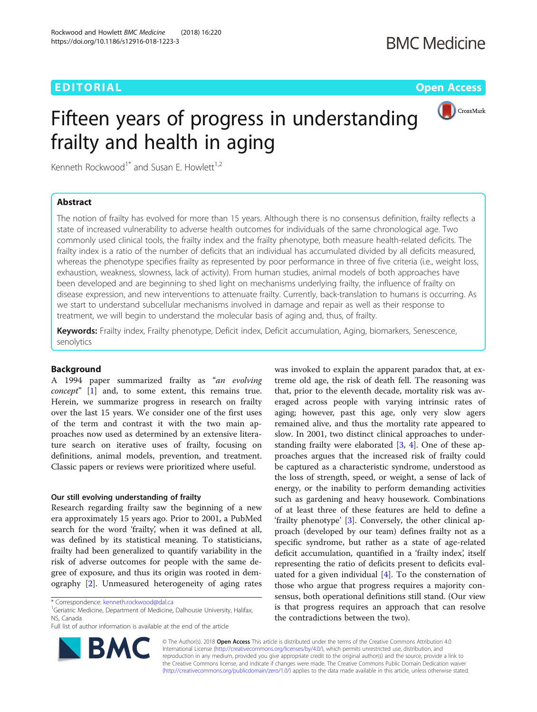# EDITORIAL AND Open Access to the contract of the contract of the contract of the contract of the contract of the contract of the contract of the contract of the contract of the contract of the contract of the contract of t



# Fifteen years of progress in understanding frailty and health in aging

Kenneth Rockwood<sup>1\*</sup> and Susan E. Howlett<sup>1,2</sup>

# Abstract

The notion of frailty has evolved for more than 15 years. Although there is no consensus definition, frailty reflects a state of increased vulnerability to adverse health outcomes for individuals of the same chronological age. Two commonly used clinical tools, the frailty index and the frailty phenotype, both measure health-related deficits. The frailty index is a ratio of the number of deficits that an individual has accumulated divided by all deficits measured, whereas the phenotype specifies frailty as represented by poor performance in three of five criteria (i.e., weight loss, exhaustion, weakness, slowness, lack of activity). From human studies, animal models of both approaches have been developed and are beginning to shed light on mechanisms underlying frailty, the influence of frailty on disease expression, and new interventions to attenuate frailty. Currently, back-translation to humans is occurring. As we start to understand subcellular mechanisms involved in damage and repair as well as their response to treatment, we will begin to understand the molecular basis of aging and, thus, of frailty.

Keywords: Frailty index, Frailty phenotype, Deficit index, Deficit accumulation, Aging, biomarkers, Senescence, senolytics

# Background

A 1994 paper summarized frailty as "an evolving concept" [[1\]](#page-2-0) and, to some extent, this remains true. Herein, we summarize progress in research on frailty over the last 15 years. We consider one of the first uses of the term and contrast it with the two main approaches now used as determined by an extensive literature search on iterative uses of frailty, focusing on definitions, animal models, prevention, and treatment. Classic papers or reviews were prioritized where useful.

## Our still evolving understanding of frailty

Research regarding frailty saw the beginning of a new era approximately 15 years ago. Prior to 2001, a PubMed search for the word 'frailty', when it was defined at all, was defined by its statistical meaning. To statisticians, frailty had been generalized to quantify variability in the risk of adverse outcomes for people with the same degree of exposure, and thus its origin was rooted in demography [[2\]](#page-2-0). Unmeasured heterogeneity of aging rates

**BM** 

<sup>1</sup>Geriatric Medicine, Department of Medicine, Dalhousie University, Halifax, NS, Canada

Full list of author information is available at the end of the article



© The Author(s). 2018 Open Access This article is distributed under the terms of the Creative Commons Attribution 4.0 International License [\(http://creativecommons.org/licenses/by/4.0/](http://creativecommons.org/licenses/by/4.0/)), which permits unrestricted use, distribution, and reproduction in any medium, provided you give appropriate credit to the original author(s) and the source, provide a link to the Creative Commons license, and indicate if changes were made. The Creative Commons Public Domain Dedication waiver [\(http://creativecommons.org/publicdomain/zero/1.0/](http://creativecommons.org/publicdomain/zero/1.0/)) applies to the data made available in this article, unless otherwise stated.

<sup>\*</sup> Correspondence: [kenneth.rockwood@dal.ca](mailto:kenneth.rockwood@dal.ca) <sup>1</sup>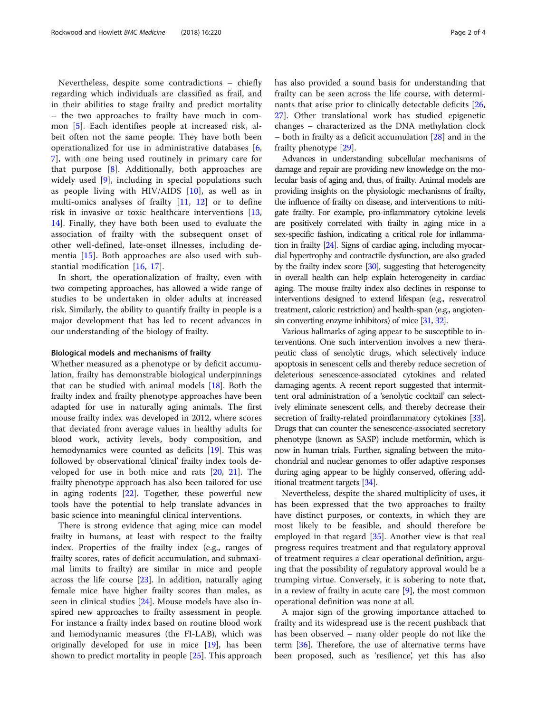Nevertheless, despite some contradictions – chiefly regarding which individuals are classified as frail, and in their abilities to stage frailty and predict mortality – the two approaches to frailty have much in common [[5\]](#page-2-0). Each identifies people at increased risk, albeit often not the same people. They have both been operationalized for use in administrative databases [\[6](#page-2-0), [7\]](#page-2-0), with one being used routinely in primary care for that purpose [[8\]](#page-2-0). Additionally, both approaches are widely used [[9\]](#page-2-0), including in special populations such as people living with HIV/AIDS  $[10]$  $[10]$ , as well as in multi-omics analyses of frailty  $[11, 12]$  $[11, 12]$  $[11, 12]$  $[11, 12]$  or to define risk in invasive or toxic healthcare interventions [\[13](#page-3-0), [14\]](#page-3-0). Finally, they have both been used to evaluate the association of frailty with the subsequent onset of other well-defined, late-onset illnesses, including dementia [[15](#page-3-0)]. Both approaches are also used with substantial modification [[16,](#page-3-0) [17\]](#page-3-0).

In short, the operationalization of frailty, even with two competing approaches, has allowed a wide range of studies to be undertaken in older adults at increased risk. Similarly, the ability to quantify frailty in people is a major development that has led to recent advances in our understanding of the biology of frailty.

## Biological models and mechanisms of frailty

Whether measured as a phenotype or by deficit accumulation, frailty has demonstrable biological underpinnings that can be studied with animal models [\[18](#page-3-0)]. Both the frailty index and frailty phenotype approaches have been adapted for use in naturally aging animals. The first mouse frailty index was developed in 2012, where scores that deviated from average values in healthy adults for blood work, activity levels, body composition, and hemodynamics were counted as deficits [\[19](#page-3-0)]. This was followed by observational 'clinical' frailty index tools developed for use in both mice and rats [\[20](#page-3-0), [21\]](#page-3-0). The frailty phenotype approach has also been tailored for use in aging rodents [[22](#page-3-0)]. Together, these powerful new tools have the potential to help translate advances in basic science into meaningful clinical interventions.

There is strong evidence that aging mice can model frailty in humans, at least with respect to the frailty index. Properties of the frailty index (e.g., ranges of frailty scores, rates of deficit accumulation, and submaximal limits to frailty) are similar in mice and people across the life course [\[23\]](#page-3-0). In addition, naturally aging female mice have higher frailty scores than males, as seen in clinical studies [\[24\]](#page-3-0). Mouse models have also inspired new approaches to frailty assessment in people. For instance a frailty index based on routine blood work and hemodynamic measures (the FI-LAB), which was originally developed for use in mice [[19\]](#page-3-0), has been shown to predict mortality in people [[25](#page-3-0)]. This approach has also provided a sound basis for understanding that frailty can be seen across the life course, with determinants that arise prior to clinically detectable deficits [[26](#page-3-0), [27\]](#page-3-0). Other translational work has studied epigenetic changes – characterized as the DNA methylation clock  $-$  both in frailty as a deficit accumulation  $[28]$  $[28]$  and in the frailty phenotype [\[29\]](#page-3-0).

Advances in understanding subcellular mechanisms of damage and repair are providing new knowledge on the molecular basis of aging and, thus, of frailty. Animal models are providing insights on the physiologic mechanisms of frailty, the influence of frailty on disease, and interventions to mitigate frailty. For example, pro-inflammatory cytokine levels are positively correlated with frailty in aging mice in a sex-specific fashion, indicating a critical role for inflammation in frailty [\[24](#page-3-0)]. Signs of cardiac aging, including myocardial hypertrophy and contractile dysfunction, are also graded by the frailty index score [\[30](#page-3-0)], suggesting that heterogeneity in overall health can help explain heterogeneity in cardiac aging. The mouse frailty index also declines in response to interventions designed to extend lifespan (e.g., resveratrol treatment, caloric restriction) and health-span (e.g., angiotensin converting enzyme inhibitors) of mice [\[31](#page-3-0), [32](#page-3-0)].

Various hallmarks of aging appear to be susceptible to interventions. One such intervention involves a new therapeutic class of senolytic drugs, which selectively induce apoptosis in senescent cells and thereby reduce secretion of deleterious senescence-associated cytokines and related damaging agents. A recent report suggested that intermittent oral administration of a 'senolytic cocktail' can selectively eliminate senescent cells, and thereby decrease their secretion of frailty-related proinflammatory cytokines [\[33](#page-3-0)]. Drugs that can counter the senescence-associated secretory phenotype (known as SASP) include metformin, which is now in human trials. Further, signaling between the mitochondrial and nuclear genomes to offer adaptive responses during aging appear to be highly conserved, offering additional treatment targets [\[34\]](#page-3-0).

Nevertheless, despite the shared multiplicity of uses, it has been expressed that the two approaches to frailty have distinct purposes, or contexts, in which they are most likely to be feasible, and should therefore be employed in that regard [\[35](#page-3-0)]. Another view is that real progress requires treatment and that regulatory approval of treatment requires a clear operational definition, arguing that the possibility of regulatory approval would be a trumping virtue. Conversely, it is sobering to note that, in a review of frailty in acute care  $[9]$  $[9]$ , the most common operational definition was none at all.

A major sign of the growing importance attached to frailty and its widespread use is the recent pushback that has been observed – many older people do not like the term [[36\]](#page-3-0). Therefore, the use of alternative terms have been proposed, such as 'resilience', yet this has also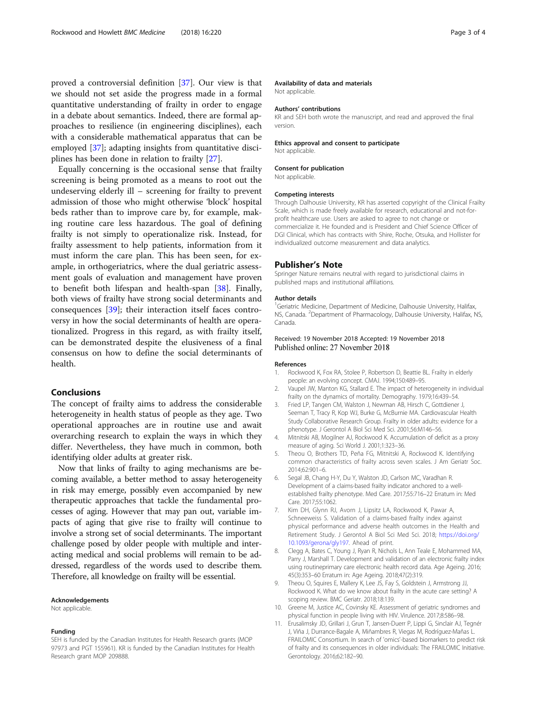<span id="page-2-0"></span>proved a controversial definition [\[37\]](#page-3-0). Our view is that we should not set aside the progress made in a formal quantitative understanding of frailty in order to engage in a debate about semantics. Indeed, there are formal approaches to resilience (in engineering disciplines), each with a considerable mathematical apparatus that can be employed [[37](#page-3-0)]; adapting insights from quantitative disciplines has been done in relation to frailty [[27](#page-3-0)].

Equally concerning is the occasional sense that frailty screening is being promoted as a means to root out the undeserving elderly ill – screening for frailty to prevent admission of those who might otherwise 'block' hospital beds rather than to improve care by, for example, making routine care less hazardous. The goal of defining frailty is not simply to operationalize risk. Instead, for frailty assessment to help patients, information from it must inform the care plan. This has been seen, for example, in orthogeriatrics, where the dual geriatric assessment goals of evaluation and management have proven to benefit both lifespan and health-span [[38\]](#page-3-0). Finally, both views of frailty have strong social determinants and consequences [\[39](#page-3-0)]; their interaction itself faces controversy in how the social determinants of health are operationalized. Progress in this regard, as with frailty itself, can be demonstrated despite the elusiveness of a final consensus on how to define the social determinants of health.

# Conclusions

The concept of frailty aims to address the considerable heterogeneity in health status of people as they age. Two operational approaches are in routine use and await overarching research to explain the ways in which they differ. Nevertheless, they have much in common, both identifying older adults at greater risk.

Now that links of frailty to aging mechanisms are becoming available, a better method to assay heterogeneity in risk may emerge, possibly even accompanied by new therapeutic approaches that tackle the fundamental processes of aging. However that may pan out, variable impacts of aging that give rise to frailty will continue to involve a strong set of social determinants. The important challenge posed by older people with multiple and interacting medical and social problems will remain to be addressed, regardless of the words used to describe them. Therefore, all knowledge on frailty will be essential.

#### Acknowledgements

Not applicable.

#### Funding

SEH is funded by the Canadian Institutes for Health Research grants (MOP 97973 and PGT 155961). KR is funded by the Canadian Institutes for Health Research grant MOP 209888.

#### Availability of data and materials

Not applicable.

#### Authors' contributions

KR and SEH both wrote the manuscript, and read and approved the final version.

Ethics approval and consent to participate Not applicable.

### Consent for publication

Not applicable.

# Competing interests

Through Dalhousie University, KR has asserted copyright of the Clinical Frailty Scale, which is made freely available for research, educational and not-forprofit healthcare use. Users are asked to agree to not change or commercialize it. He founded and is President and Chief Science Officer of DGI Clinical, which has contracts with Shire, Roche, Otsuka, and Hollister for individualized outcome measurement and data analytics.

#### Publisher's Note

Springer Nature remains neutral with regard to jurisdictional claims in published maps and institutional affiliations.

#### Author details

<sup>1</sup>Geriatric Medicine, Department of Medicine, Dalhousie University, Halifax NS, Canada. <sup>2</sup>Department of Pharmacology, Dalhousie University, Halifax, NS Canada.

# Received: 19 November 2018 Accepted: 19 November 2018 Published online: 27 November 2018

#### References

- 1. Rockwood K, Fox RA, Stolee P, Robertson D, Beattie BL. Frailty in elderly people: an evolving concept. CMAJ. 1994;150:489–95.
- 2. Vaupel JW, Manton KG, Stallard E. The impact of heterogeneity in individual frailty on the dynamics of mortality. Demography. 1979;16:439–54.
- 3. Fried LP, Tangen CM, Walston J, Newman AB, Hirsch C, Gottdiener J, Seeman T, Tracy R, Kop WJ, Burke G, McBurnie MA. Cardiovascular Health Study Collaborative Research Group. Frailty in older adults: evidence for a phenotype. J Gerontol A Biol Sci Med Sci. 2001;56:M146–56.
- 4. Mitnitski AB, Mogilner AJ, Rockwood K. Accumulation of deficit as a proxy measure of aging. Sci World J. 2001;1:323–36.
- 5. Theou O, Brothers TD, Peña FG, Mitnitski A, Rockwood K. Identifying common characteristics of frailty across seven scales. J Am Geriatr Soc. 2014;62:901–6.
- 6. Segal JB, Chang H-Y, Du Y, Walston JD, Carlson MC, Varadhan R. Development of a claims-based frailty indicator anchored to a wellestablished frailty phenotype. Med Care. 2017;55:716–22 Erratum in: Med Care. 2017;55:1062.
- 7. Kim DH, Glynn RJ, Avorn J, Lipsitz LA, Rockwood K, Pawar A, Schneeweiss S. Validation of a claims-based frailty index against physical performance and adverse health outcomes in the Health and Retirement Study. J Gerontol A Biol Sci Med Sci. 2018; [https://doi.org/](https://doi.org/10.1093/gerona/gly197) [10.1093/gerona/gly197.](https://doi.org/10.1093/gerona/gly197) Ahead of print.
- 8. Clegg A, Bates C, Young J, Ryan R, Nichols L, Ann Teale E, Mohammed MA, Parry J, Marshall T. Development and validation of an electronic frailty index using routineprimary care electronic health record data. Age Ageing. 2016; 45(3):353–60 Erratum in: Age Ageing. 2018;47(2):319.
- 9. Theou O, Squires E, Mallery K, Lee JS, Fay S, Goldstein J, Armstrong JJ, Rockwood K. What do we know about frailty in the acute care setting? A scoping review. BMC Geriatr. 2018;18:139.
- 10. Greene M, Justice AC, Covinsky KE. Assessment of geriatric syndromes and physical function in people living with HIV. Virulence. 2017;8:586–98.
- 11. Erusalimsky JD, Grillari J, Grun T, Jansen-Duerr P, Lippi G, Sinclair AJ, Tegnér J, Viña J, Durrance-Bagale A, Miñambres R, Viegas M, Rodríguez-Mañas L. FRAILOMIC Consortium. In search of 'omics'-based biomarkers to predict risk of frailty and its consequences in older individuals: The FRAILOMIC Initiative. Gerontology. 2016;62:182–90.